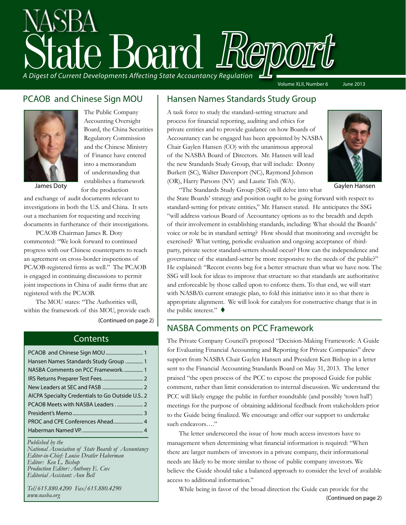# State Board Report *A Digest of Current Developments Affecting State Accountancy Regulation* Volume XLII, Number 6 June 2013

#### PCAOB and Chinese Sign MOU



The Public Company Accounting Oversight Board, the China Securities Regulatory Commission and the Chinese Ministry of Finance have entered into a memorandum of understanding that establishes a framework for the production

James Doty

and exchange of audit documents relevant to investigations in both the U.S. and China. It sets out a mechanism for requesting and receiving documents in furtherance of their investigations.

PCAOB Chairman James R. Doty commented: "We look forward to continued progress with our Chinese counterparts to reach an agreement on cross-border inspections of PCAOB-registered firms as well." The PCAOB is engaged in continuing discussions to permit joint inspections in China of audit firms that are registered with the PCAOB.

The MOU states: "The Authorities will, within the framework of this MOU, provide each

[\(Continued on page 2\)](#page-1-0)

#### **Contents**

| Hansen Names Standards Study Group  1           |
|-------------------------------------------------|
| NASBA Comments on PCC Framework1                |
|                                                 |
|                                                 |
| AICPA Specialty Credentials to Go Outside U.S 2 |
| PCAOB Meets with NASBA Leaders  2               |
|                                                 |
|                                                 |
|                                                 |

#### *Published by the*

*National Association of State Boards of Accountancy Editor-in-Chief: Louise Dratler Haberman Editor: Ken L. Bishop Production Editor: Anthony E. Cox Editorial Assistant: Ann Bell* 

*Tel/615.880.4200 Fax/615.880.4290 www.nasba.org*

#### Hansen Names Standards Study Group

A task force to study the standard-setting structure and process for financial reporting, auditing and ethics for private entities and to provide guidance on how Boards of Accountancy can be engaged has been appointed by NASBA Chair Gaylen Hansen (CO) with the unanimous approval of the NASBA Board of Directors. Mr. Hansen will lead the new Standards Study Group, that will include: Donny Burkett (SC), Walter Davenport (NC), Raymond Johnson (OR), Harry Parsons (NV) and Laurie Tish (WA).



Gaylen Hansen

"The Standards Study Group (SSG) will delve into what the State Boards' strategy and position ought to be going forward with respect to standard-setting for private entities," Mr. Hansen stated. He anticipates the SSG "will address various Board of Accountancy options as to the breadth and depth of their involvement in establishing standards, including: What should the Boards' voice or role be in standard setting? How should that monitoring and oversight be exercised? What vetting, periodic evaluation and ongoing acceptance of thirdparty, private sector standard-setters should occur? How can the independence and governance of the standard-setter be more responsive to the needs of the public?" He explained: "Recent events beg for a better structure than what we have now. The SSG will look for ideas to improve that structure so that standards are authoritative and enforceable by those called upon to enforce them. To that end, we will start with NASBA's current strategic plan, to fold this initiative into it so that there is appropriate alignment. We will look for catalysts for constructive change that is in the public interest."  $\blacklozenge$ 

#### NASBA Comments on PCC Framework

The Private Company Council's proposed "Decision-Making Framework: A Guide for Evaluating Financial Accounting and Reporting for Private Companies" drew support from NASBA Chair Gaylen Hansen and President Ken Bishop in a letter sent to the Financial Accounting Standards Board on May 31, 2013. The letter praised "the open process of the PCC to expose the proposed Guide for public comment, rather than limit consideration to internal discussion. We understand the PCC will likely engage the public in further roundtable (and possibly 'town hall') meetings for the purpose of obtaining additional feedback from stakeholders prior to the Guide being finalized. We encourage and offer our support to undertake such endeavors…."

The letter underscored the issue of how much access investors have to management when determining what financial information is required: "When there are larger numbers of investors in a private company, their informational needs are likely to be more similar to those of public company investors. We believe the Guide should take a balanced approach to consider the level of available access to additional information."

While being in favor of the broad direction the Guide can provide for the [\(Continued on page 2\)](#page-1-0)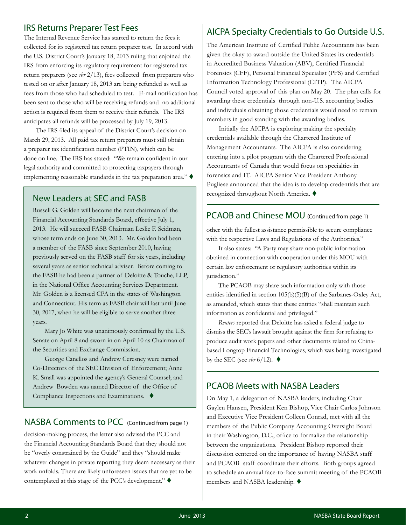#### <span id="page-1-0"></span>IRS Returns Preparer Test Fees

The Internal Revenue Service has started to return the fees it collected for its registered tax return preparer test. In accord with the U.S. District Court's January 18, 2013 ruling that enjoined the IRS from enforcing its regulatory requirement for registered tax return preparers (see *sbr* 2/13), fees collected from preparers who tested on or after January 18, 2013 are being refunded as well as fees from those who had scheduled to test. E-mail notification has been sent to those who will be receiving refunds and no additional action is required from them to receive their refunds. The IRS anticipates all refunds will be processed by July 19, 2013.

The IRS filed its appeal of the District Court's decision on March 29, 2013. All paid tax return preparers must still obtain a preparer tax identification number (PTIN), which can be done on line. The IRS has stated: "We remain confident in our legal authority and committed to protecting taxpayers through implementing reasonable standards in the tax preparation area."  $\blacklozenge$ 

#### New Leaders at SEC and FASB

Russell G. Golden will become the next chairman of the Financial Accounting Standards Board, effective July 1, 2013. He will succeed FASB Chairman Leslie F. Seidman, whose term ends on June 30, 2013. Mr. Golden had been a member of the FASB since September 2010, having previously served on the FASB staff for six years, including several years as senior technical adviser. Before coming to the FASB he had been a partner of Deloitte & Touche, LLP, in the National Office Accounting Services Department. Mr. Golden is a licensed CPA in the states of Washington and Connecticut. His term as FASB chair will last until June 30, 2017, when he will be eligible to serve another three years.

Mary Jo White was unanimously confirmed by the U.S. Senate on April 8 and sworn in on April 10 as Chairman of the Securities and Exchange Commission.

George Canellos and Andrew Ceresney were named Co-Directors of the SEC Division of Enforcement; Anne K. Small was appointed the agency's General Counsel; and Andrew Bowden was named Director of the Office of Compliance Inspections and Examinations.  $\blacklozenge$ 

#### NASBA Comments to PCC (Continued from page 1)

decision-making process, the letter also advised the PCC and the Financial Accounting Standards Board that they should not be "overly constrained by the Guide" and they "should make whatever changes in private reporting they deem necessary as their work unfolds. There are likely unforeseen issues that are yet to be contemplated at this stage of the PCC's development."  $\blacklozenge$ 

#### AICPA Specialty Credentials to Go Outside U.S.

The American Institute of Certified Public Accountants has been given the okay to award outside the United States its credentials in Accredited Business Valuation (ABV), Certified Financial Forensics (CFF), Personal Financial Specialist (PFS) and Certified Information Technology Professional (CITP). The AICPA Council voted approval of this plan on May 20. The plan calls for awarding these credentials through non-U.S. accounting bodies and individuals obtaining those credentials would need to remain members in good standing with the awarding bodies.

Initially the AICPA is exploring making the specialty credentials available through the Chartered Institute of Management Accountants. The AICPA is also considering entering into a pilot program with the Chartered Professional Accountants of Canada that would focus on specialties in forensics and IT. AICPA Senior Vice President Anthony Pugliese announced that the idea is to develop credentials that are recognized throughout North America. ♦

#### PCAOB and Chinese MOU (Continued from page 1)

other with the fullest assistance permissible to secure compliance with the respective Laws and Regulations of the Authorities."

It also states: "A Party may share non-public information obtained in connection with cooperation under this MOU with certain law enforcement or regulatory authorities within its jurisdiction."

The PCAOB may share such information only with those entities identified in section 105(b)(5)(B) of the Sarbanes-Oxley Act, as amended, which states that these entities "shall maintain such information as confidential and privileged."

*Reuters* reported that Deloitte has asked a federal judge to dismiss the SEC's lawsuit brought against the firm for refusing to produce audit work papers and other documents related to Chinabased Longtop Financial Technologies, which was being investigated by the SEC (see  $\text{str } 6/12$ ).  $\blacklozenge$ 

#### PCAOB Meets with NASBA Leaders

On May 1, a delegation of NASBA leaders, including Chair Gaylen Hansen, President Ken Bishop, Vice Chair Carlos Johnson and Executive Vice President Colleen Conrad, met with all the members of the Public Company Accounting Oversight Board in their Washington, D.C., office to formalize the relationship between the organizations. President Bishop reported their discussion centered on the importance of having NASBA staff and PCAOB staff coordinate their efforts. Both groups agreed to schedule an annual face-to-face summit meeting of the PCAOB members and NASBA leadership.  $\blacklozenge$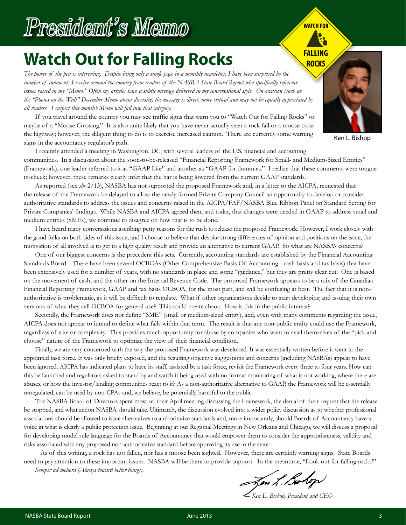# President's Memo

## **Watch Out for Falling Rocks**

*The power of the pen is interesting. Despite being only a single page in a monthly newsletter, I have been surprised by the number of comments I receive around the country from readers of the NASBA State Board Report who specifically reference issues raised in my "Memo." Often my articles have a subtle message delivered in my conversational style. On occasion (such as the "Photos on the Wall" December Memo about diversity) the message is direct, more critical and may not be equally appreciated by all readers. I suspect this month's Memo will fall into that category.*

If you travel around the country you may see traffic signs that warn you to "Watch Out for Falling Rocks" or maybe of a "Moose Crossing." It is also quite likely that you have never actually seen a rock fall or a moose cross the highway; however, the diligent thing to do is to exercise increased caution. There are currently some warning signs in the accountancy regulator's path.

I recently attended a meeting in Washington, DC, with several leaders of the U.S. financial and accounting communities. In a discussion about the soon-to-be-released "Financial Reporting Framework for Small- and Medium-Sized Entities" (Framework), one leader referred to it as "GAAP Lite" and another as "GAAP for dummies." I realize that these comments were tonguein-cheek; however, these remarks clearly infer that the bar is being lowered from the current GAAP standards.

As reported (see *sbr* 2/13), NASBA has not supported the proposed Framework and, in a letter to the AICPA, requested that the release of the Framework be delayed to allow the newly formed Private Company Council an opportunity to develop or consider authoritative standards to address the issues and concerns raised in the AICPA/FAF/NASBA Blue Ribbon Panel on Standard Setting for Private Companies' findings. While NASBA and AICPA agreed then, and today, that changes were needed in GAAP to address small and medium entities (SMEs), we continue to disagree on how that is to be done.

I have heard many conversations ascribing petty reasons for the rush to release the proposed Framework. However, I work closely with the good folks on both sides of this issue, and I choose to believe that despite strong differences of opinion and positions on the issue, the motivation of all involved is to get to a high quality result and provide an alternative to current GAAP. So what are NASBA's concerns?

One of our biggest concerns is the precedent this sets. Currently, accounting standards are established by the Financial Accounting Standards Board. There have been several OCBOAs (Other Comprehensive Basis Of Accounting - cash basis and tax basis) that have been extensively used for a number of years, with no standards in place and some "guidance," but they are pretty clear cut. One is based on the movement of cash, and the other on the Internal Revenue Code. The proposed Framework appears to be a mix of the Canadian Financial Reporting Framework, GAAP and tax basis OCBOA, for the most part, and will be confusing at best. The fact that it is nonauthoritative is problematic, as it will be difficult to regulate. What if other organizations decide to start developing and issuing their own versions of what they call OCBOA for general use? This could create chaos. How is this in the public interest?

Secondly, the Framework does not define "SME" (small or medium-sized entity), and, even with many comments regarding the issue, AICPA does not appear to intend to define what falls within that term. The result is that any non-public entity could use the Framework, regardless of size or complexity. This provides much opportunity for abuse by companies who want to avail themselves of the "pick and choose" nature of the Framework to optimize the view of their financial condition.

Finally, we are very concerned with the way the proposed Framework was developed. It was essentially written before it went to the appointed task force. It was only briefly exposed, and the resulting objective suggestions and concerns (including NASBA's) appear to have been ignored. AICPA has indicated plans to have its staff, assisted by a task force, revisit the Framework every three to four years. How can this be launched and regulators asked to stand by and watch it being used with no formal monitoring of what is not working, where there are abuses, or how the investor/lending communities react to it? As a non-authoritative alternative to GAAP, the Framework will be essentially unregulated, can be used by non-CPAs and, we believe, be potentially harmful to the public.

The NASBA Board of Directors spent most of their April meeting discussing the Framework, the denial of their request that the release be stopped, and what action NASBA should take. Ultimately, the discussion evolved into a wider policy discussion as to whether professional associations should be allowed to issue alternatives to authoritative standards and, more importantly, should Boards of Accountancy have a voice in what is clearly a public protection issue. Beginning at our Regional Meetings in New Orleans and Chicago, we will discuss a proposal for developing model rule language for the Boards of Accountancy that would empower them to consider the appropriateness, validity and risks associated with any proposed non-authoritative standard before approving its use in the state.

 As of this writing, a rock has not fallen, nor has a moose been sighted. However, there are certainly warning signs. State Boards need to pay attention to these important issues. NASBA will be there to provide support. In the meantime, "Look out for falling rocks!"

*Semper ad meliora (Always toward better things).*

Jon L. Bolop

*― Ken L. Bishop, President and CEO*



**WATCH FOR**